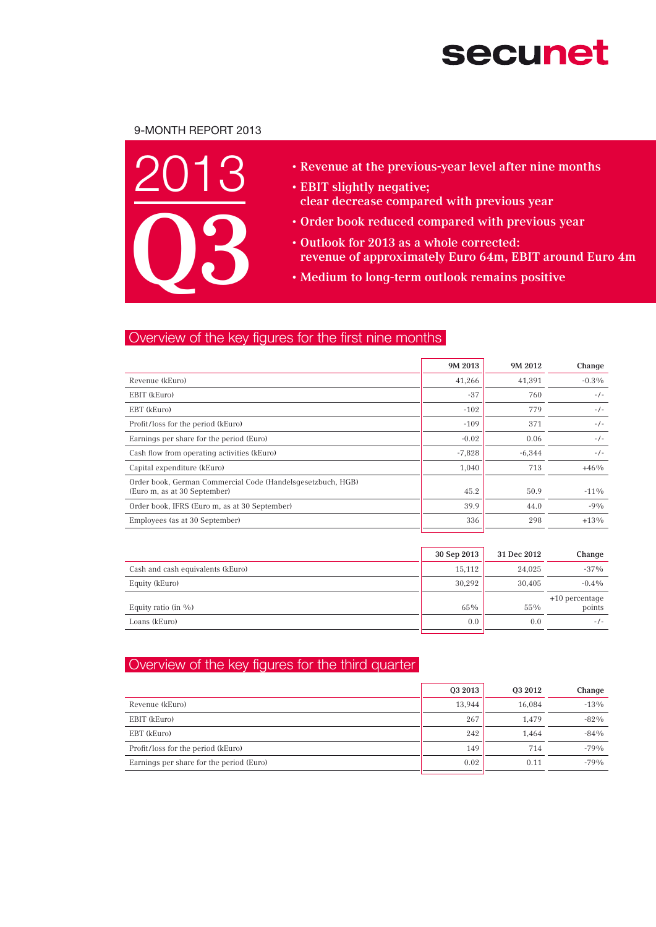# **secunet**

## 9-Month Report 2013



- • Revenue at the previous-year level after nine months
- EBIT slightly negative; clear decrease compared with previous year
- • Order book reduced compared with previous year
- • Outlook for 2013 as a whole corrected: revenue of approximately Euro 64m, EBIT around Euro 4m
- • Medium to long-term outlook remains positive

## Overview of the key figures for the first nine months

|                                                                                             | 9M 2013  | 9M 2012  | Change   |
|---------------------------------------------------------------------------------------------|----------|----------|----------|
| Revenue (kEuro)                                                                             | 41,266   | 41.391   | $-0.3\%$ |
| EBIT (kEuro)                                                                                | $-37$    | 760      | $-/-$    |
| EBT (kEuro)                                                                                 | $-102$   | 779      | $-/-$    |
| Profit/loss for the period (kEuro)                                                          | $-109$   | 371      | $-/-$    |
| Earnings per share for the period (Euro)                                                    | $-0.02$  | 0.06     | $-/-$    |
| Cash flow from operating activities (kEuro)                                                 | $-7,828$ | $-6,344$ | $-/-$    |
| Capital expenditure (kEuro)                                                                 | 1,040    | 713      | $+46%$   |
| Order book, German Commercial Code (Handelsgesetzbuch, HGB)<br>(Euro m, as at 30 September) | 45.2     | 50.9     | $-11\%$  |
| Order book, IFRS (Euro m, as at 30 September)                                               | 39.9     | 44.0     | $-9%$    |
| Employees (as at 30 September)                                                              | 336      | 298      | $+13%$   |

|                                   | 30 Sep 2013 | 31 Dec 2012 | Change                     |
|-----------------------------------|-------------|-------------|----------------------------|
| Cash and cash equivalents (kEuro) | 15.112      | 24.025      | $-37\%$                    |
| Equity (kEuro)                    | 30.292      | 30.405      | $-0.4\%$                   |
| Equity ratio (in %)               | 65%         | 55%         | $+10$ percentage<br>points |
| Loans (kEuro)                     | 0.0         | 0.0         | $-/-$                      |

## Overview of the key figures for the third quarter

|                                          | 03 2013 | 03 2012 | Change |
|------------------------------------------|---------|---------|--------|
| Revenue (kEuro)                          | 13.944  | 16.084  | $-13%$ |
| EBIT (kEuro)                             | 267     | 1.479   | $-82%$ |
| EBT (kEuro)                              | 242     | 1.464   | $-84%$ |
| Profit/loss for the period (kEuro)       | 149     | 714     | $-79%$ |
| Earnings per share for the period (Euro) | 0.02    | 0.11    | $-79%$ |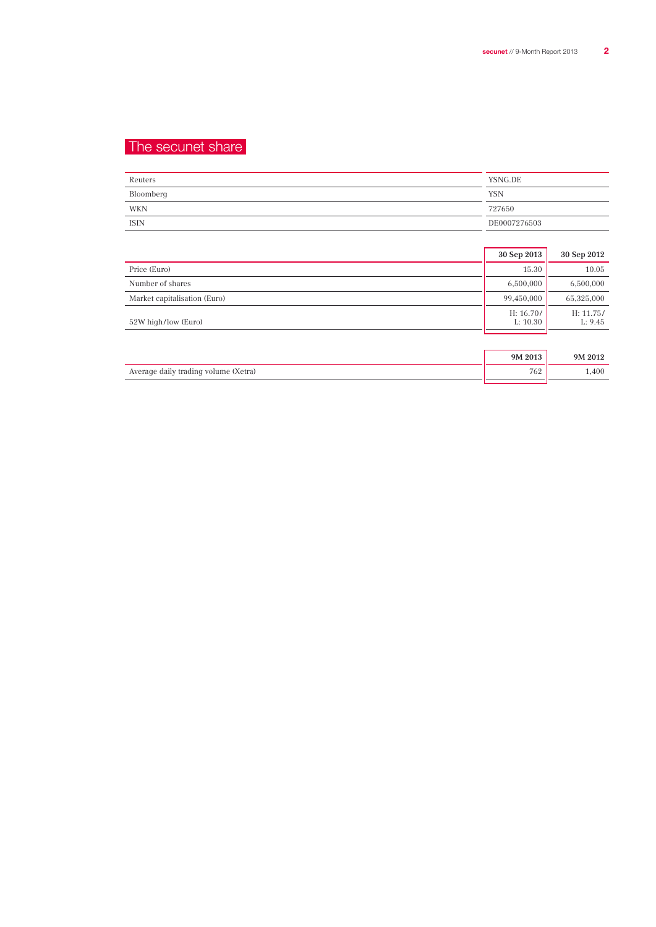## The secunet share

| Reuters     | YSNG.DE      |
|-------------|--------------|
| Bloomberg   | <b>YSN</b>   |
| WKN         | 727650       |
| <b>ISIN</b> | DE0007276503 |

|                              | 30 Sep 2013           | 30 Sep 2012          |
|------------------------------|-----------------------|----------------------|
| Price (Euro)                 | 15.30                 | 10.05                |
| Number of shares             | 6,500,000             | 6,500,000            |
| Market capitalisation (Euro) | 99,450,000            | 65,325,000           |
| 52W high/low (Euro)          | H: 16.70/<br>L: 10.30 | H: 11.75/<br>L: 9.45 |
|                              |                       |                      |
|                              | 9M 2013               | 9M 2012              |

| Average daily trading volume (Xetra) | 762 | 400 |
|--------------------------------------|-----|-----|
|--------------------------------------|-----|-----|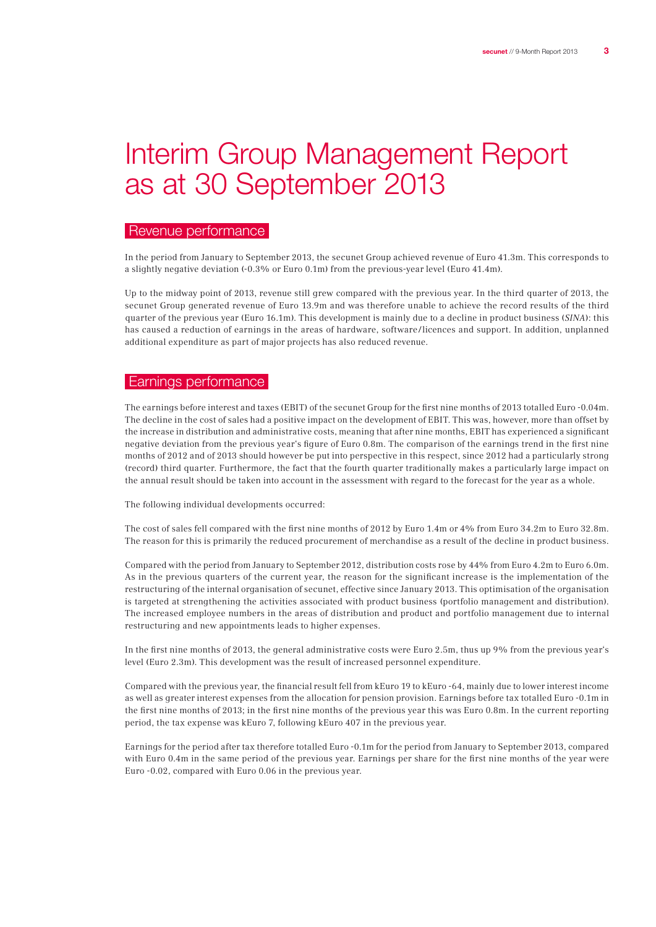# Interim Group Management Report as at 30 September 2013

## Revenue performance

In the period from January to September 2013, the secunet Group achieved revenue of Euro 41.3m. This corresponds to a slightly negative deviation (-0.3% or Euro 0.1m) from the previous-year level (Euro 41.4m).

Up to the midway point of 2013, revenue still grew compared with the previous year. In the third quarter of 2013, the secunet Group generated revenue of Euro 13.9m and was therefore unable to achieve the record results of the third quarter of the previous year (Euro 16.1m). This development is mainly due to a decline in product business (SINA): this has caused a reduction of earnings in the areas of hardware, software / licences and support. In addition, unplanned additional expenditure as part of major projects has also reduced revenue.

### Earnings performance

The earnings before interest and taxes (EBIT) of the secunet Group for the first nine months of 2013 totalled Euro -0.04m. The decline in the cost of sales had a positive impact on the development of EBIT. This was, however, more than offset by the increase in distribution and administrative costs, meaning that after nine months, EBIT has experienced a significant negative deviation from the previous year's figure of Euro 0.8m. The comparison of the earnings trend in the first nine months of 2012 and of 2013 should however be put into perspective in this respect, since 2012 had a particularly strong (record) third quarter. Furthermore, the fact that the fourth quarter traditionally makes a particularly large impact on the annual result should be taken into account in the assessment with regard to the forecast for the year as a whole.

The following individual developments occurred:

The cost of sales fell compared with the first nine months of 2012 by Euro 1.4m or 4% from Euro 34.2m to Euro 32.8m. The reason for this is primarily the reduced procurement of merchandise as a result of the decline in product business.

Compared with the period from January to September 2012, distribution costs rose by 44% from Euro 4.2m to Euro 6.0m. As in the previous quarters of the current year, the reason for the significant increase is the implementation of the restructuring of the internal organisation of secunet, effective since January 2013. This optimisation of the organisation is targeted at strengthening the activities associated with product business (portfolio management and distribution). The increased employee numbers in the areas of distribution and product and portfolio management due to internal restructuring and new appointments leads to higher expenses.

In the first nine months of 2013, the general administrative costs were Euro 2.5m, thus up 9% from the previous year's level (Euro 2.3m). This development was the result of increased personnel expenditure.

Compared with the previous year, the financial result fell from kEuro 19 to kEuro -64, mainly due to lower interest income as well as greater interest expenses from the allocation for pension provision. Earnings before tax totalled Euro -0.1m in the first nine months of 2013; in the first nine months of the previous year this was Euro 0.8m. In the current reporting period, the tax expense was kEuro 7, following kEuro 407 in the previous year.

Earnings for the period after tax therefore totalled Euro -0.1m for the period from January to September 2013, compared with Euro 0.4m in the same period of the previous year. Earnings per share for the first nine months of the year were Euro -0.02, compared with Euro 0.06 in the previous year.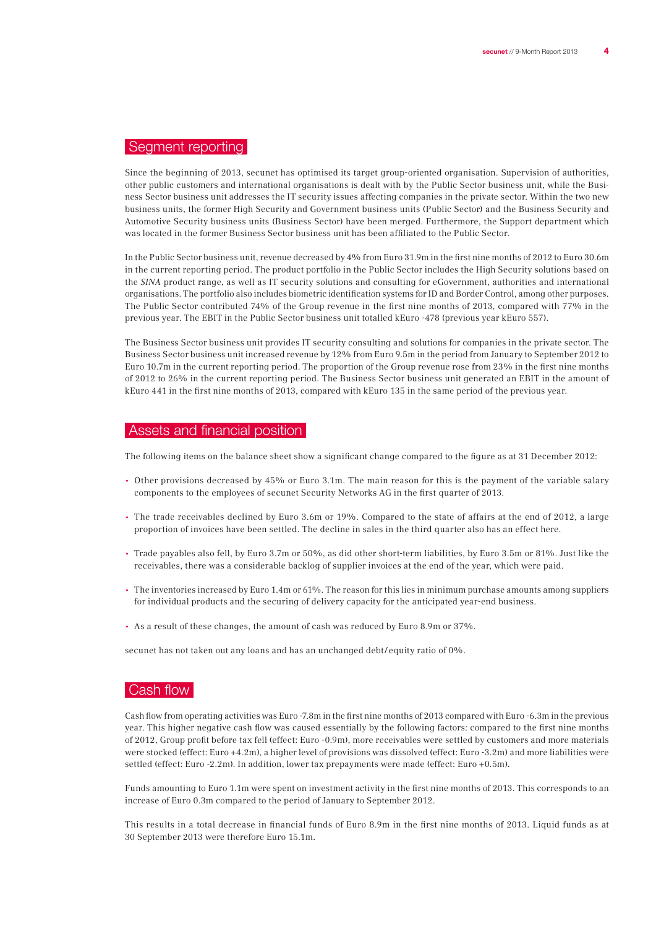## Segment reporting

Since the beginning of 2013, secunet has optimised its target group-oriented organisation. Supervision of authorities, other public customers and international organisations is dealt with by the Public Sector business unit, while the Business Sector business unit addresses the IT security issues affecting companies in the private sector. Within the two new business units, the former High Security and Government business units (Public Sector) and the Business Security and Automotive Security business units (Business Sector) have been merged. Furthermore, the Support department which was located in the former Business Sector business unit has been affiliated to the Public Sector.

In the Public Sector business unit, revenue decreased by 4% from Euro 31.9m in the first nine months of 2012 to Euro 30.6m in the current reporting period. The product portfolio in the Public Sector includes the High Security solutions based on the SINA product range, as well as IT security solutions and consulting for eGovernment, authorities and international organisations. The portfolio also includes biometric identification systems for ID and Border Control, among other purposes. The Public Sector contributed 74% of the Group revenue in the first nine months of 2013, compared with 77% in the previous year. The EBIT in the Public Sector business unit totalled kEuro -478 (previous year kEuro 557).

The Business Sector business unit provides IT security consulting and solutions for companies in the private sector. The Business Sector business unit increased revenue by 12% from Euro 9.5m in the period from January to September 2012 to Euro 10.7m in the current reporting period. The proportion of the Group revenue rose from 23% in the first nine months of 2012 to 26% in the current reporting period. The Business Sector business unit generated an EBIT in the amount of kEuro 441 in the first nine months of 2013, compared with kEuro 135 in the same period of the previous year.

## Assets and financial position

The following items on the balance sheet show a significant change compared to the figure as at 31 December 2012:

- Other provisions decreased by 45% or Euro 3.1m. The main reason for this is the payment of the variable salary components to the employees of secunet Security Networks AG in the first quarter of 2013.
- The trade receivables declined by Euro 3.6m or 19%. Compared to the state of affairs at the end of 2012, a large proportion of invoices have been settled. The decline in sales in the third quarter also has an effect here.
- Trade payables also fell, by Euro 3.7m or 50%, as did other short-term liabilities, by Euro 3.5m or 81%. Just like the receivables, there was a considerable backlog of supplier invoices at the end of the year, which were paid.
- The inventories increased by Euro 1.4m or 61%. The reason for this lies in minimum purchase amounts among suppliers for individual products and the securing of delivery capacity for the anticipated year-end business.
- As a result of these changes, the amount of cash was reduced by Euro 8.9m or 37%.

secunet has not taken out any loans and has an unchanged debt/equity ratio of 0%.

## Cash flow

Cash flow from operating activities was Euro -7.8m in the first nine months of 2013 compared with Euro -6.3m in the previous year. This higher negative cash flow was caused essentially by the following factors: compared to the first nine months of 2012, Group profit before tax fell (effect: Euro -0.9m), more receivables were settled by customers and more materials were stocked (effect: Euro +4.2m), a higher level of provisions was dissolved (effect: Euro -3.2m) and more liabilities were settled (effect: Euro -2.2m). In addition, lower tax prepayments were made (effect: Euro +0.5m).

Funds amounting to Euro 1.1m were spent on investment activity in the first nine months of 2013. This corresponds to an increase of Euro 0.3m compared to the period of January to September 2012.

This results in a total decrease in financial funds of Euro 8.9m in the first nine months of 2013. Liquid funds as at 30 September 2013 were therefore Euro 15.1m.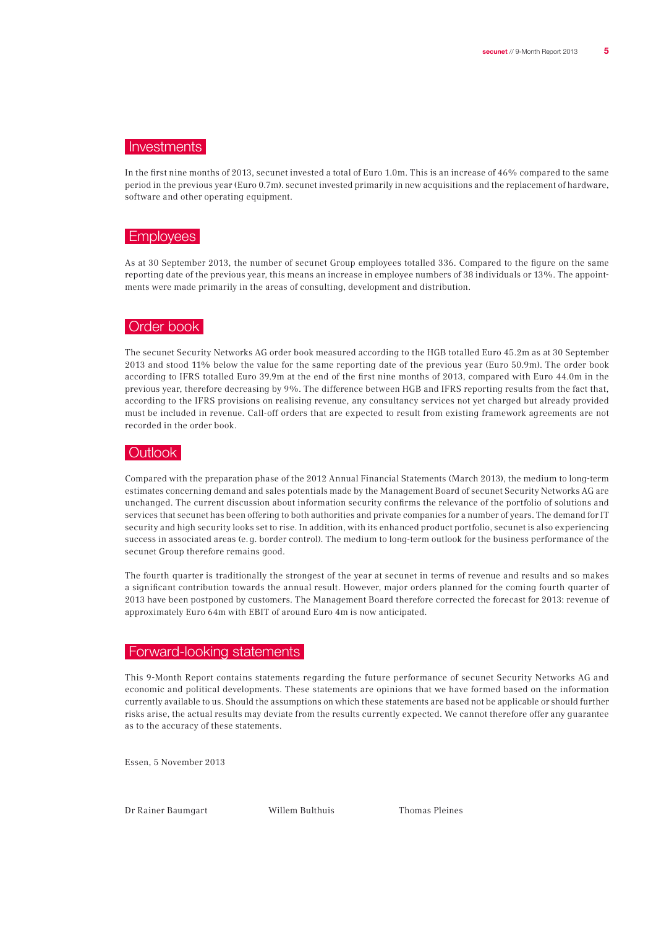## Investments

In the first nine months of 2013, secunet invested a total of Euro 1.0m. This is an increase of 46% compared to the same period in the previous year (Euro 0.7m). secunet invested primarily in new acquisitions and the replacement of hardware, software and other operating equipment.

### Employees

As at 30 September 2013, the number of secunet Group employees totalled 336. Compared to the figure on the same reporting date of the previous year, this means an increase in employee numbers of 38 individuals or 13%. The appointments were made primarily in the areas of consulting, development and distribution.

#### Order book

The secunet Security Networks AG order book measured according to the HGB totalled Euro 45.2m as at 30 September 2013 and stood 11% below the value for the same reporting date of the previous year (Euro 50.9m). The order book according to IFRS totalled Euro 39.9m at the end of the first nine months of 2013, compared with Euro 44.0m in the previous year, therefore decreasing by 9%. The difference between HGB and IFRS reporting results from the fact that, according to the IFRS provisions on realising revenue, any consultancy services not yet charged but already provided must be included in revenue. Call-off orders that are expected to result from existing framework agreements are not recorded in the order book.

#### Outlook

Compared with the preparation phase of the 2012 Annual Financial Statements (March 2013), the medium to long-term estimates concerning demand and sales potentials made by the Management Board of secunet Security Networks AG are unchanged. The current discussion about information security confirms the relevance of the portfolio of solutions and services that secunet has been offering to both authorities and private companies for a number of years. The demand for IT security and high security looks set to rise. In addition, with its enhanced product portfolio, secunet is also experiencing success in associated areas (e. g. border control). The medium to long-term outlook for the business performance of the secunet Group therefore remains good.

The fourth quarter is traditionally the strongest of the year at secunet in terms of revenue and results and so makes a significant contribution towards the annual result. However, major orders planned for the coming fourth quarter of 2013 have been postponed by customers. The Management Board therefore corrected the forecast for 2013: revenue of approximately Euro 64m with EBIT of around Euro 4m is now anticipated.

## Forward-looking statements

This 9-Month Report contains statements regarding the future performance of secunet Security Networks AG and economic and political developments. These statements are opinions that we have formed based on the information currently available to us. Should the assumptions on which these statements are based not be applicable or should further risks arise, the actual results may deviate from the results currently expected. We cannot therefore offer any guarantee as to the accuracy of these statements.

Essen, 5 November 2013

Dr Rainer Baumgart Willem Bulthuis Thomas Pleines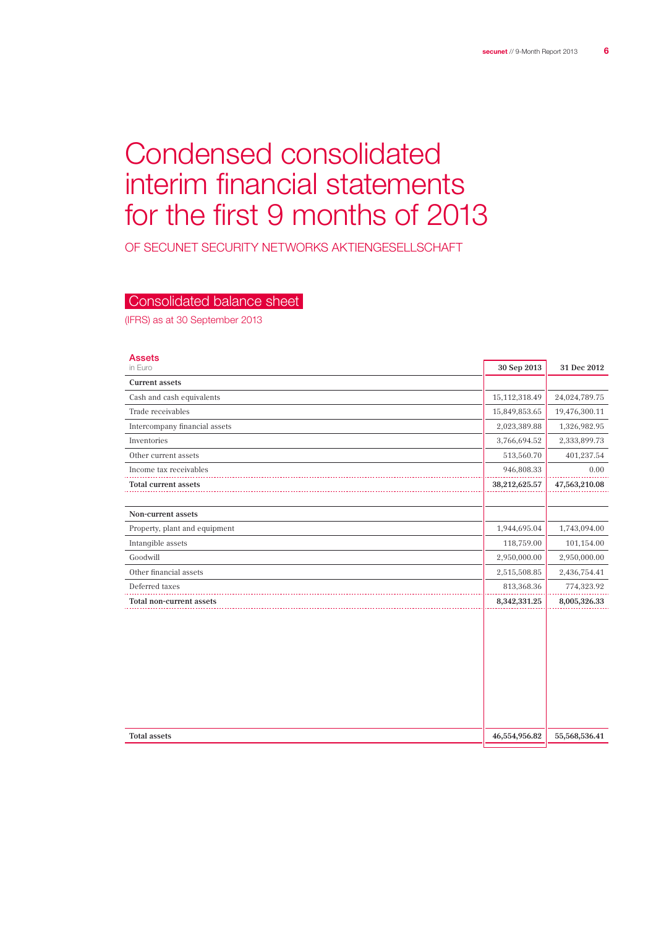# Condensed consolidated interim financial statements for the first 9 months of 2013

OF SECUNET SECURITY NETWORKS Aktiengesellschaft

## Consolidated balance sheet

(IFRS) as at 30 September 2013

| <b>Assets</b><br>in Euro      | 30 Sep 2013   | 31 Dec 2012   |
|-------------------------------|---------------|---------------|
| <b>Current assets</b>         |               |               |
| Cash and cash equivalents     | 15,112,318.49 | 24,024,789.75 |
| Trade receivables             | 15,849,853.65 | 19,476,300.11 |
| Intercompany financial assets | 2,023,389.88  | 1,326,982.95  |
| Inventories                   | 3,766,694.52  | 2,333,899.73  |
| Other current assets          | 513,560.70    | 401,237.54    |
| Income tax receivables        | 946,808.33    | 0.00          |
| <b>Total current assets</b>   | 38,212,625.57 | 47,563,210.08 |
|                               |               |               |
| Non-current assets            |               |               |
| Property, plant and equipment | 1,944,695.04  | 1,743,094.00  |
| Intangible assets             | 118,759.00    | 101,154.00    |
| Goodwill                      | 2,950,000.00  | 2,950,000.00  |
| Other financial assets        | 2,515,508.85  | 2,436,754.41  |
| Deferred taxes                | 813,368.36    | 774,323.92    |
| Total non-current assets      | 8,342,331.25  | 8,005,326.33  |
|                               |               |               |
| <b>Total assets</b>           | 46,554,956.82 | 55,568,536.41 |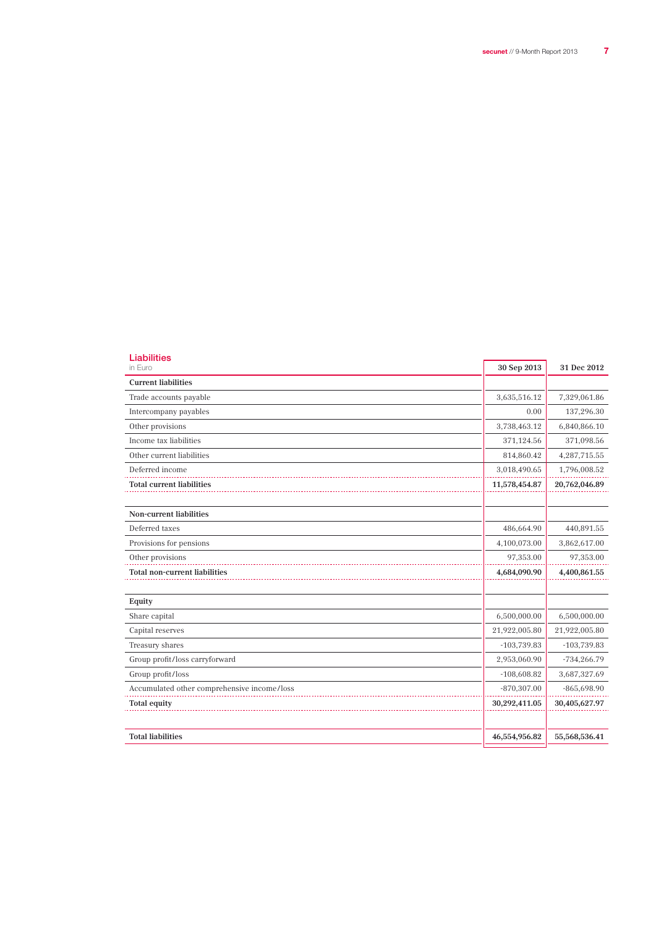| <b>Liabilities</b><br>in Euro               | 30 Sep 2013   | 31 Dec 2012   |
|---------------------------------------------|---------------|---------------|
| <b>Current liabilities</b>                  |               |               |
| Trade accounts payable                      | 3,635,516.12  | 7,329,061.86  |
| Intercompany payables                       | 0.00          | 137,296.30    |
| Other provisions                            | 3,738,463.12  | 6,840,866.10  |
| Income tax liabilities                      | 371,124.56    | 371,098.56    |
| Other current liabilities                   | 814,860.42    | 4,287,715.55  |
| Deferred income                             | 3,018,490.65  | 1,796,008.52  |
| <b>Total current liabilities</b>            | 11,578,454.87 | 20,762,046.89 |
|                                             |               |               |
| <b>Non-current liabilities</b>              |               |               |
| Deferred taxes                              | 486,664.90    | 440,891.55    |
| Provisions for pensions                     | 4,100,073.00  | 3,862,617.00  |
| Other provisions                            | 97,353.00     | 97,353.00     |
| <b>Total non-current liabilities</b>        | 4,684,090.90  | 4,400,861.55  |
|                                             |               |               |
| Equity                                      |               |               |
| Share capital                               | 6,500,000.00  | 6,500,000.00  |
| Capital reserves                            | 21,922,005.80 | 21,922,005.80 |
| Treasury shares                             | $-103,739.83$ | $-103,739.83$ |
| Group profit/loss carryforward              | 2,953,060.90  | $-734,266.79$ |
| Group profit/loss                           | $-108,608.82$ | 3,687,327.69  |
| Accumulated other comprehensive income/loss | $-870,307.00$ | $-865,698.90$ |
| <b>Total equity</b>                         | 30,292,411.05 | 30,405,627.97 |
|                                             |               |               |
| <b>Total liabilities</b>                    | 46,554,956.82 | 55,568,536.41 |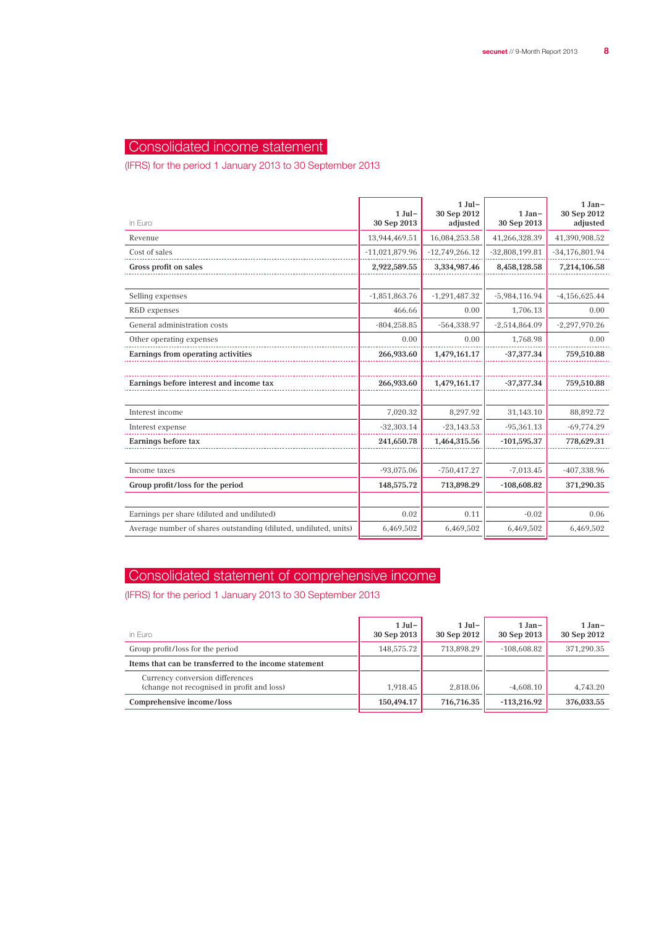## Consolidated income statement

(IFRS) for the period 1 January 2013 to 30 September 2013

| in Euro                                                          | $1$ Jul-<br>30 Sep 2013 | $1$ Jul –<br>30 Sep 2012<br>adjusted | $1 Jan-$<br>30 Sep 2013 | $1 Jan-$<br>30 Sep 2012<br>adjusted |
|------------------------------------------------------------------|-------------------------|--------------------------------------|-------------------------|-------------------------------------|
| Revenue                                                          | 13,944,469.51           | 16,084,253.58                        | 41,266,328.39           | 41,390,908.52                       |
| Cost of sales                                                    | $-11,021,879.96$        | $-12,749,266.12$                     | $-32,808,199.81$        | $-34,176,801.94$                    |
| Gross profit on sales                                            | 2,922,589.55            | 3,334,987.46                         | 8,458,128.58            | 7,214,106.58                        |
|                                                                  |                         |                                      |                         |                                     |
| Selling expenses                                                 | $-1,851,863.76$         | $-1,291,487.32$                      | $-5,984,116.94$         | $-4,156,625.44$                     |
| R&D expenses                                                     | 466.66                  | 0.00                                 | 1,706.13                | 0.00                                |
| General administration costs                                     | $-804, 258.85$          | $-564,338.97$                        | $-2,514,864.09$         | $-2,297,970.26$                     |
| Other operating expenses                                         | 0.00                    | 0.00                                 | 1,768.98                | 0.00                                |
| Earnings from operating activities                               | 266,933.60              | 1,479,161.17                         | $-37,377,34$            | 759,510.88                          |
|                                                                  |                         |                                      |                         |                                     |
| Earnings before interest and income tax                          | 266,933.60              | 1,479,161.17                         | $-37,377.34$            | 759,510.88                          |
|                                                                  |                         |                                      |                         |                                     |
| Interest income                                                  | 7,020.32                | 8,297.92                             | 31,143.10               | 88,892.72                           |
| Interest expense                                                 | $-32,303.14$            | $-23,143.53$                         | $-95,361.13$            | $-69,774.29$                        |
| Earnings before tax                                              | 241,650.78              | 1,464,315.56                         | $-101,595.37$           | 778,629.31                          |
|                                                                  |                         |                                      |                         |                                     |
| Income taxes                                                     | $-93,075.06$            | $-750,417.27$                        | $-7,013.45$             | $-407,338.96$                       |
| Group profit/loss for the period                                 | 148,575.72              | 713,898.29                           | $-108,608.82$           | 371,290.35                          |
|                                                                  |                         |                                      |                         |                                     |
| Earnings per share (diluted and undiluted)                       | 0.02                    | 0.11                                 | $-0.02$                 | 0.06                                |
| Average number of shares outstanding (diluted, undiluted, units) | 6,469,502               | 6,469,502                            | 6,469,502               | 6,469,502                           |
|                                                                  |                         |                                      |                         |                                     |

## Consolidated statement of comprehensive income

(IFRS) for the period 1 January 2013 to 30 September 2013

| $1$ Jul –<br>30 Sep 2013 | $1$ Jul –<br>30 Sep 2012 | $1 Jan-$<br>30 Sep 2013 | $1 Jan-$<br>30 Sep 2012 |
|--------------------------|--------------------------|-------------------------|-------------------------|
| 148.575.72               | 713.898.29               | $-108.608.82$           | 371.290.35              |
|                          |                          |                         |                         |
| 1.918.45                 | 2.818.06                 | $-4.608.10$             | 4.743.20                |
| 150,494.17               | 716,716.35               | $-113.216.92$           | 376,033.55              |
|                          |                          |                         |                         |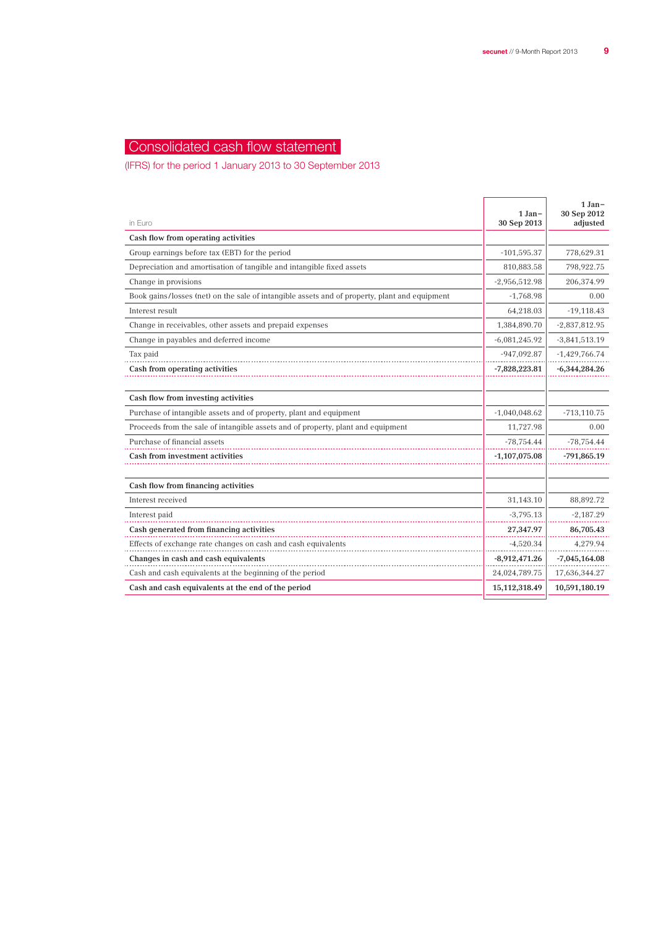## Consolidated cash flow statement

(IFRS) for the period 1 January 2013 to 30 September 2013

| in Euro                                                                                       | $1 Jan-$<br>30 Sep 2013 | $1 Jan-$<br>30 Sep 2012<br>adjusted |
|-----------------------------------------------------------------------------------------------|-------------------------|-------------------------------------|
| Cash flow from operating activities                                                           |                         |                                     |
| Group earnings before tax (EBT) for the period                                                | $-101,595.37$           | 778,629.31                          |
| Depreciation and amortisation of tangible and intangible fixed assets                         | 810,883.58              | 798,922.75                          |
| Change in provisions                                                                          | $-2,956,512.98$         | 206,374.99                          |
| Book gains/losses (net) on the sale of intangible assets and of property, plant and equipment | $-1,768.98$             | 0.00                                |
| Interest result                                                                               | 64,218.03               | $-19,118.43$                        |
| Change in receivables, other assets and prepaid expenses                                      | 1,384,890.70            | $-2,837,812.95$                     |
| Change in payables and deferred income                                                        | $-6,081,245.92$         | $-3,841,513.19$                     |
| Tax paid                                                                                      | $-947,092.87$           | $-1,429,766.74$                     |
| Cash from operating activities                                                                | $-7,828,223.81$         | $-6,344,284.26$                     |
|                                                                                               |                         |                                     |
| Cash flow from investing activities                                                           |                         |                                     |
| Purchase of intangible assets and of property, plant and equipment                            | $-1,040,048.62$         | $-713, 110.75$                      |
| Proceeds from the sale of intangible assets and of property, plant and equipment              | 11,727.98               | 0.00                                |
| Purchase of financial assets                                                                  | $-78,754.44$            | $-78,754.44$                        |
| Cash from investment activities                                                               | $-1,107,075.08$         | $-791,865.19$                       |
|                                                                                               |                         |                                     |
| Cash flow from financing activities                                                           |                         |                                     |
| Interest received                                                                             | 31,143.10               | 88,892.72                           |
| Interest paid                                                                                 | $-3,795.13$             | $-2,187.29$                         |
| Cash generated from financing activities                                                      | 27,347.97               | 86,705.43                           |
| Effects of exchange rate changes on cash and cash equivalents                                 | $-4,520.34$             | 4,279.94                            |
| Changes in cash and cash equivalents                                                          | $-8,912,471.26$         | $-7,045,164.08$                     |
| Cash and cash equivalents at the beginning of the period                                      | 24,024,789.75           | 17,636,344.27                       |
| Cash and cash equivalents at the end of the period                                            | 15,112,318.49           | 10,591,180.19                       |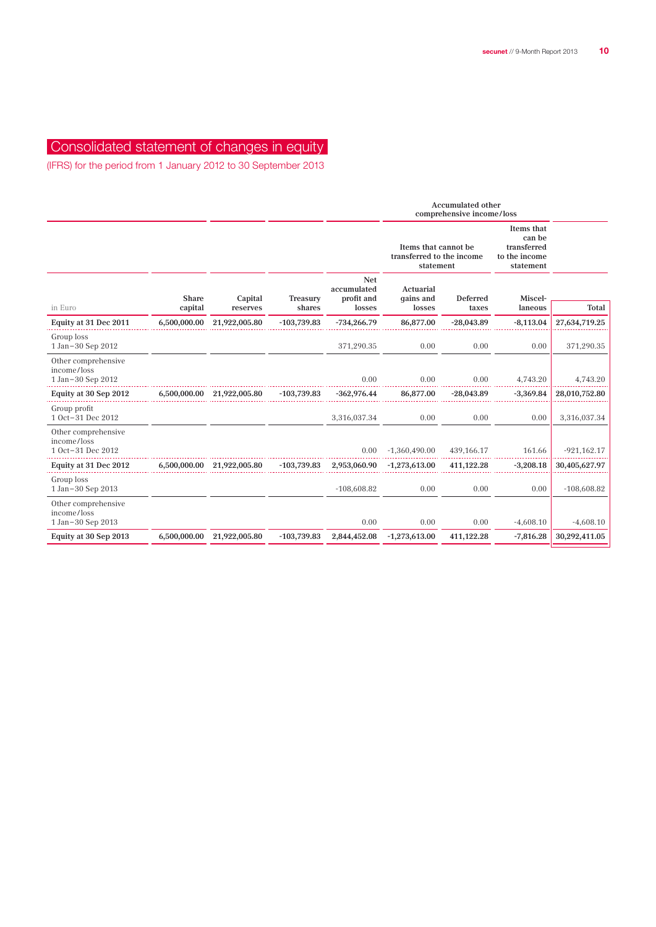## Consolidated statement of changes in equity

(IFRS) for the period from 1 January 2012 to 30 September 2013

|                                                         |                         |                     |                    |                                                                | <b>Accumulated other</b><br>comprehensive income/loss |                                                                   |                    |               |
|---------------------------------------------------------|-------------------------|---------------------|--------------------|----------------------------------------------------------------|-------------------------------------------------------|-------------------------------------------------------------------|--------------------|---------------|
|                                                         |                         |                     |                    | Items that cannot be<br>transferred to the income<br>statement |                                                       | Items that<br>can be<br>transferred<br>to the income<br>statement |                    |               |
| in Euro                                                 | <b>Share</b><br>capital | Capital<br>reserves | Treasury<br>shares | <b>Net</b><br>accumulated<br>profit and<br>losses              | Actuarial<br>qains and<br>losses                      | Deferred<br>taxes                                                 | Miscel-<br>laneous | Total         |
| Equity at 31 Dec 2011                                   | 6,500,000.00            | 21,922,005.80       | $-103,739.83$      | $-734,266.79$                                                  | 86,877.00                                             | $-28,043.89$                                                      | $-8,113.04$        | 27,634,719.25 |
| Group loss<br>1 Jan-30 Sep 2012                         |                         |                     |                    | 371,290.35                                                     | 0.00                                                  | 0.00                                                              | 0.00               | 371,290.35    |
| Other comprehensive<br>income/loss<br>1 Jan-30 Sep 2012 |                         |                     |                    | 0.00                                                           | 0.00                                                  | 0.00                                                              | 4,743.20           | 4,743.20      |
| Equity at 30 Sep 2012                                   | 6,500,000.00            | 21,922,005.80       | $-103,739.83$      | $-362,976.44$                                                  | 86,877.00                                             | $-28,043.89$                                                      | $-3,369.84$        | 28,010,752.80 |
| Group profit<br>1 Oct-31 Dec 2012                       |                         |                     |                    | 3,316,037.34                                                   | 0.00                                                  | 0.00                                                              | 0.00               | 3,316,037.34  |
| Other comprehensive<br>income/loss<br>1 Oct-31 Dec 2012 |                         |                     |                    | 0.00                                                           | $-1,360,490.00$                                       | 439,166.17                                                        | 161.66             | $-921,162.17$ |
| Equity at 31 Dec 2012                                   | 6,500,000.00            | 21,922,005.80       | $-103,739.83$      | 2,953,060.90                                                   | $-1,273,613.00$                                       | 411,122.28                                                        | $-3,208.18$        | 30,405,627.97 |
| Group loss<br>1 Jan-30 Sep 2013                         |                         |                     |                    | $-108,608.82$                                                  | 0.00                                                  | 0.00                                                              | 0.00               | $-108,608.82$ |
| Other comprehensive<br>income/loss<br>1 Jan-30 Sep 2013 |                         |                     |                    | 0.00                                                           | 0.00                                                  | 0.00                                                              | $-4,608.10$        | $-4,608.10$   |
| Equity at 30 Sep 2013                                   | 6,500,000.00            | 21,922,005.80       | $-103,739.83$      | 2,844,452.08                                                   | $-1,273,613.00$                                       | 411,122.28                                                        | $-7,816.28$        | 30,292,411.05 |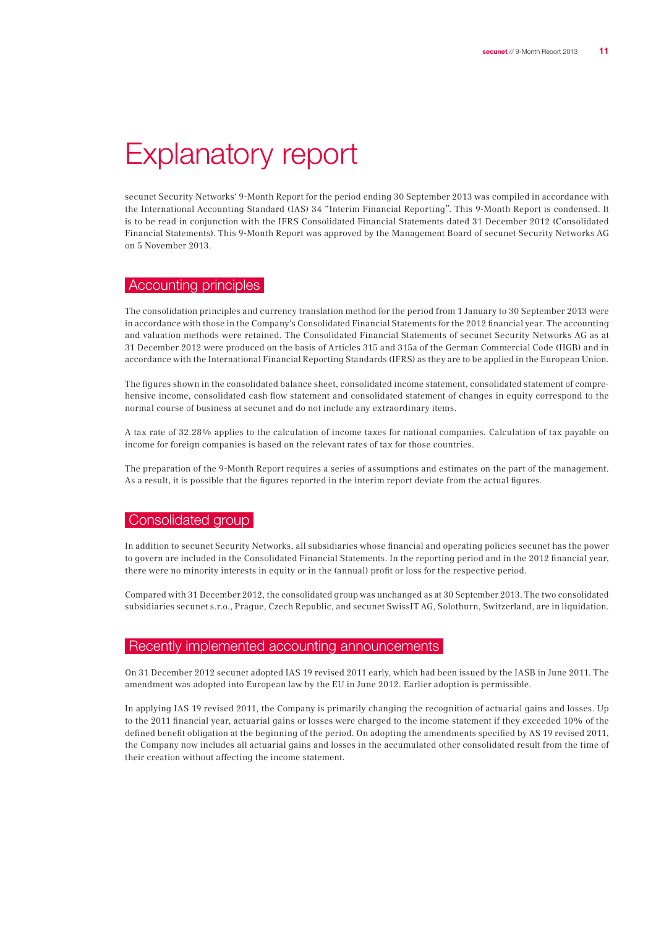# Explanatory report

secunet Security Networks' 9-Month Report for the period ending 30 September 2013 was compiled in accordance with the International Accounting Standard (IAS) 34 "Interim Financial Reporting". This 9-Month Report is condensed. It is to be read in conjunction with the IFRS Consolidated Financial Statements dated 31 December 2012 (Consolidated Financial Statements). This 9-Month Report was approved by the Management Board of secunet Security Networks AG on 5 November 2013.

### Accounting principles

The consolidation principles and currency translation method for the period from 1 January to 30 September 2013 were in accordance with those in the Company's Consolidated Financial Statements for the 2012 financial year. The accounting and valuation methods were retained. The Consolidated Financial Statements of secunet Security Networks AG as at 31 December 2012 were produced on the basis of Articles 315 and 315a of the German Commercial Code (HGB) and in accordance with the International Financial Reporting Standards (IFRS) as they are to be applied in the European Union.

The figures shown in the consolidated balance sheet, consolidated income statement, consolidated statement of comprehensive income, consolidated cash flow statement and consolidated statement of changes in equity correspond to the normal course of business at secunet and do not include any extraordinary items.

A tax rate of 32.28% applies to the calculation of income taxes for national companies. Calculation of tax payable on income for foreign companies is based on the relevant rates of tax for those countries.

The preparation of the 9-Month Report requires a series of assumptions and estimates on the part of the management. As a result, it is possible that the figures reported in the interim report deviate from the actual figures.

### Consolidated group

In addition to secunet Security Networks, all subsidiaries whose financial and operating policies secunet has the power to govern are included in the Consolidated Financial Statements. In the reporting period and in the 2012 financial year, there were no minority interests in equity or in the (annual) profit or loss for the respective period.

Compared with 31 December 2012, the consolidated group was unchanged as at 30 September 2013. The two consolidated subsidiaries secunet s.r.o., Prague, Czech Republic, and secunet SwissIT AG, Solothurn, Switzerland, are in liquidation.

### Recently implemented accounting announcements

On 31 December 2012 secunet adopted IAS 19 revised 2011 early, which had been issued by the IASB in June 2011. The amendment was adopted into European law by the EU in June 2012. Earlier adoption is permissible.

In applying IAS 19 revised 2011, the Company is primarily changing the recognition of actuarial gains and losses. Up to the 2011 financial year, actuarial gains or losses were charged to the income statement if they exceeded 10% of the defined benefit obligation at the beginning of the period. On adopting the amendments specified by AS 19 revised 2011, the Company now includes all actuarial gains and losses in the accumulated other consolidated result from the time of their creation without affecting the income statement.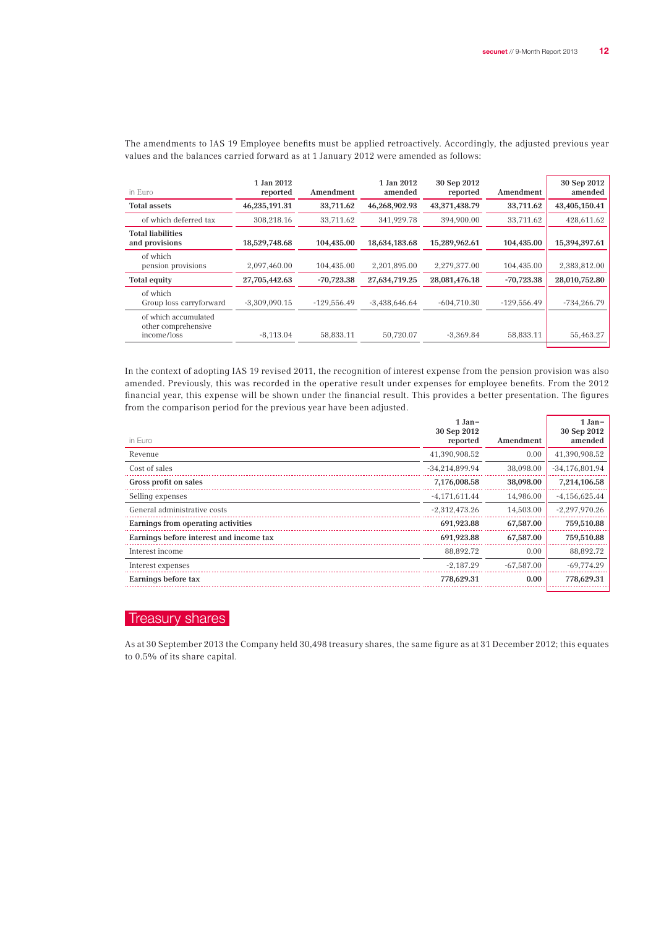| in Euro                                                    | 1 Jan 2012<br>reported | Amendment     | 1 Jan 2012<br>amended | 30 Sep 2012<br>reported | Amendment     | 30 Sep 2012<br>amended |
|------------------------------------------------------------|------------------------|---------------|-----------------------|-------------------------|---------------|------------------------|
| <b>Total assets</b>                                        | 46,235,191.31          | 33,711.62     | 46,268,902.93         | 43,371,438.79           | 33,711.62     | 43,405,150.41          |
| of which deferred tax                                      | 308.218.16             | 33.711.62     | 341.929.78            | 394,900.00              | 33.711.62     | 428,611.62             |
| <b>Total liabilities</b><br>and provisions                 | 18,529,748.68          | 104,435.00    | 18,634,183.68         | 15,289,962.61           | 104,435.00    | 15,394,397.61          |
| of which<br>pension provisions                             | 2,097,460.00           | 104.435.00    | 2.201.895.00          | 2.279.377.00            | 104.435.00    | 2,383,812.00           |
| Total equity                                               | 27,705,442.63          | $-70.723.38$  | 27,634,719.25         | 28,081,476.18           | $-70.723.38$  | 28,010,752.80          |
| of which<br>Group loss carryforward                        | $-3,309,090.15$        | $-129.556.49$ | $-3.438.646.64$       | $-604,710,30$           | $-129.556.49$ | $-734,266.79$          |
| of which accumulated<br>other comprehensive<br>income/loss | $-8.113.04$            | 58.833.11     | 50,720.07             | $-3.369.84$             | 58,833.11     | 55,463.27              |

The amendments to IAS 19 Employee benefits must be applied retroactively. Accordingly, the adjusted previous year values and the balances carried forward as at 1 January 2012 were amended as follows:

In the context of adopting IAS 19 revised 2011, the recognition of interest expense from the pension provision was also amended. Previously, this was recorded in the operative result under expenses for employee benefits. From the 2012 financial year, this expense will be shown under the financial result. This provides a better presentation. The figures from the comparison period for the previous year have been adjusted.

|                                         | $1 Jan -$               |              | $1 Jan-$<br>30 Sep 2012 |
|-----------------------------------------|-------------------------|--------------|-------------------------|
| in Euro                                 | 30 Sep 2012<br>reported | Amendment    | amended                 |
| Revenue                                 | 41,390,908.52           | 0.00         | 41,390,908.52           |
| Cost of sales                           | $-34,214,899.94$        | 38,098.00    | $-34,176,801.94$        |
| Gross profit on sales                   | 7,176,008.58            | 38,098.00    | 7,214,106.58            |
| Selling expenses                        | $-4,171,611.44$         | 14.986.00    | $-4,156,625.44$         |
| General administrative costs            | $-2,312,473.26$         | 14,503.00    | $-2,297,970.26$         |
| Earnings from operating activities      | 691,923.88              | 67,587.00    | 759,510.88              |
| Earnings before interest and income tax | 691,923.88              | 67,587.00    | 759,510.88              |
| Interest income                         | 88,892.72               | 0.00         | 88,892.72               |
| Interest expenses                       | $-2.187.29$             | $-67.587.00$ | $-69.774.29$            |
| Earnings before tax                     | 778,629.31              | 0.00         | 778,629.31              |
|                                         |                         |              |                         |

## Treasury shares

As at 30 September 2013 the Company held 30,498 treasury shares, the same figure as at 31 December 2012; this equates to 0.5% of its share capital.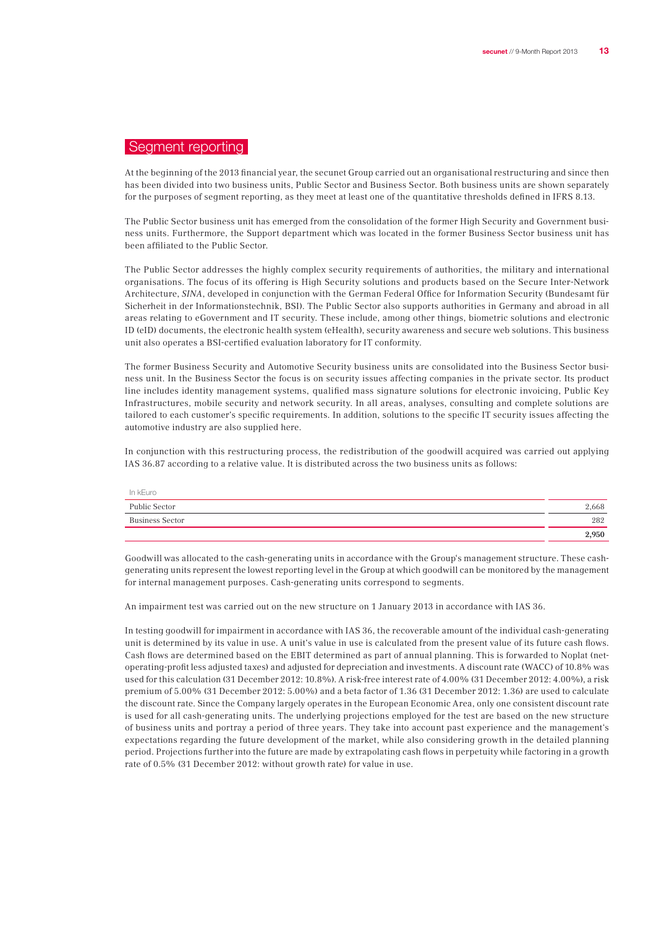## Segment reporting

At the beginning of the 2013 financial year, the secunet Group carried out an organisational restructuring and since then has been divided into two business units, Public Sector and Business Sector. Both business units are shown separately for the purposes of segment reporting, as they meet at least one of the quantitative thresholds defined in IFRS 8.13.

The Public Sector business unit has emerged from the consolidation of the former High Security and Government business units. Furthermore, the Support department which was located in the former Business Sector business unit has been affiliated to the Public Sector.

The Public Sector addresses the highly complex security requirements of authorities, the military and international organisations. The focus of its offering is High Security solutions and products based on the Secure Inter-Network Architecture, SINA, developed in conjunction with the German Federal Office for Information Security (Bundesamt für Sicherheit in der Informationstechnik, BSI). The Public Sector also supports authorities in Germany and abroad in all areas relating to eGovernment and IT security. These include, among other things, biometric solutions and electronic ID (eID) documents, the electronic health system (eHealth), security awareness and secure web solutions. This business unit also operates a BSI-certified evaluation laboratory for IT conformity.

The former Business Security and Automotive Security business units are consolidated into the Business Sector business unit. In the Business Sector the focus is on security issues affecting companies in the private sector. Its product line includes identity management systems, qualified mass signature solutions for electronic invoicing, Public Key Infrastructures, mobile security and network security. In all areas, analyses, consulting and complete solutions are tailored to each customer's specific requirements. In addition, solutions to the specific IT security issues affecting the automotive industry are also supplied here.

In conjunction with this restructuring process, the redistribution of the goodwill acquired was carried out applying IAS 36.87 according to a relative value. It is distributed across the two business units as follows:

| In kEuro        |       |
|-----------------|-------|
| Public Sector   | 2,668 |
| Business Sector | 282   |
|                 | 2,950 |

Goodwill was allocated to the cash-generating units in accordance with the Group's management structure. These cashgenerating units represent the lowest reporting level in the Group at which goodwill can be monitored by the management for internal management purposes. Cash-generating units correspond to segments.

An impairment test was carried out on the new structure on 1 January 2013 in accordance with IAS 36.

In testing goodwill for impairment in accordance with IAS 36, the recoverable amount of the individual cash-generating unit is determined by its value in use. A unit's value in use is calculated from the present value of its future cash flows. Cash flows are determined based on the EBIT determined as part of annual planning. This is forwarded to Noplat (netoperating-profit less adjusted taxes) and adjusted for depreciation and investments. A discount rate (WACC) of 10.8% was used for this calculation (31 December 2012: 10.8%). A risk-free interest rate of 4.00% (31 December 2012: 4.00%), a risk premium of 5.00% (31 December 2012: 5.00%) and a beta factor of 1.36 (31 December 2012: 1.36) are used to calculate the discount rate. Since the Company largely operates in the European Economic Area, only one consistent discount rate is used for all cash-generating units. The underlying projections employed for the test are based on the new structure of business units and portray a period of three years. They take into account past experience and the management's expectations regarding the future development of the market, while also considering growth in the detailed planning period. Projections further into the future are made by extrapolating cash flows in perpetuity while factoring in a growth rate of 0.5% (31 December 2012: without growth rate) for value in use.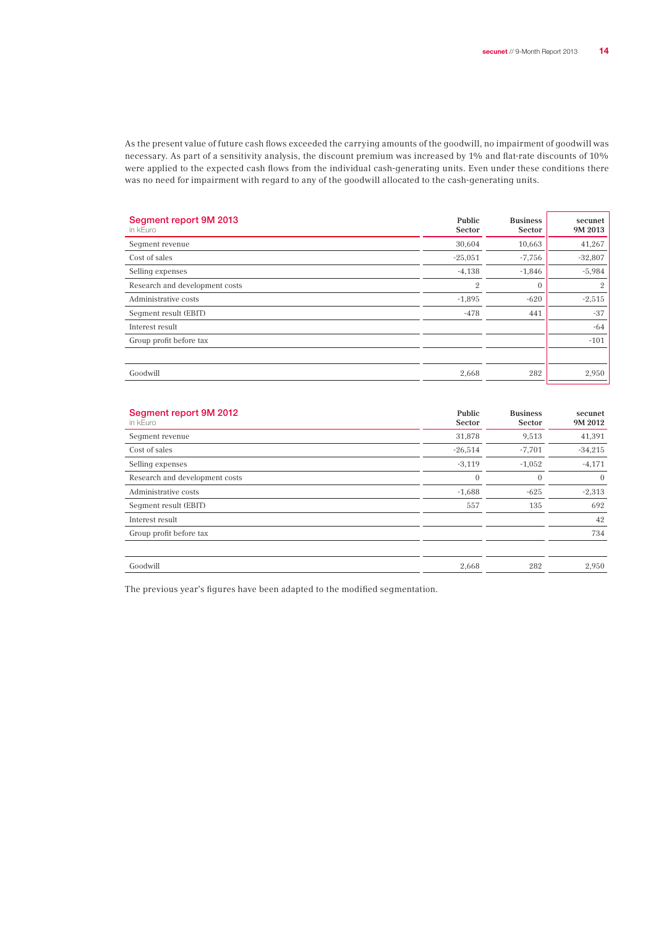As the present value of future cash flows exceeded the carrying amounts of the goodwill, no impairment of goodwill was necessary. As part of a sensitivity analysis, the discount premium was increased by 1% and flat-rate discounts of 10% were applied to the expected cash flows from the individual cash-generating units. Even under these conditions there was no need for impairment with regard to any of the goodwill allocated to the cash-generating units.

| Segment report 9M 2013<br>in kEuro | Public<br><b>Sector</b> | <b>Business</b><br><b>Sector</b> | secunet<br>9M 2013 |
|------------------------------------|-------------------------|----------------------------------|--------------------|
| Seqment revenue                    | 30,604                  | 10,663                           | 41,267             |
| Cost of sales                      | $-25,051$               | $-7,756$                         | $-32,807$          |
| Selling expenses                   | $-4,138$                | $-1,846$                         | $-5,984$           |
| Research and development costs     | $\mathfrak{2}$          | $\mathbf{0}$                     | $\mathbf{2}$       |
| Administrative costs               | $-1,895$                | $-620$                           | $-2,515$           |
| Seqment result (EBIT)              | $-478$                  | 441                              | $-37$              |
| Interest result                    |                         |                                  | $-64$              |
| Group profit before tax            |                         |                                  | $-101$             |
|                                    |                         |                                  |                    |
| Goodwill                           | 2,668                   | 282                              | 2,950              |

| Segment report 9M 2012<br>in kEuro | Public<br>Sector | <b>Business</b><br>Sector | secunet<br>9M 2012 |
|------------------------------------|------------------|---------------------------|--------------------|
| Seqment revenue                    | 31,878           | 9,513                     | 41,391             |
| Cost of sales                      | $-26,514$        | $-7,701$                  | $-34,215$          |
| Selling expenses                   | $-3,119$         | $-1,052$                  | $-4,171$           |
| Research and development costs     | $\mathbf{0}$     | $\mathbf{0}$              | $\overline{0}$     |
| Administrative costs               | $-1,688$         | $-625$                    | $-2,313$           |
| Seqment result (EBIT)              | 557              | 135                       | 692                |
| Interest result                    |                  |                           | 42                 |
| Group profit before tax            |                  |                           | 734                |
|                                    |                  |                           |                    |
| Goodwill                           | 2,668            | 282                       | 2,950              |

The previous year's figures have been adapted to the modified segmentation.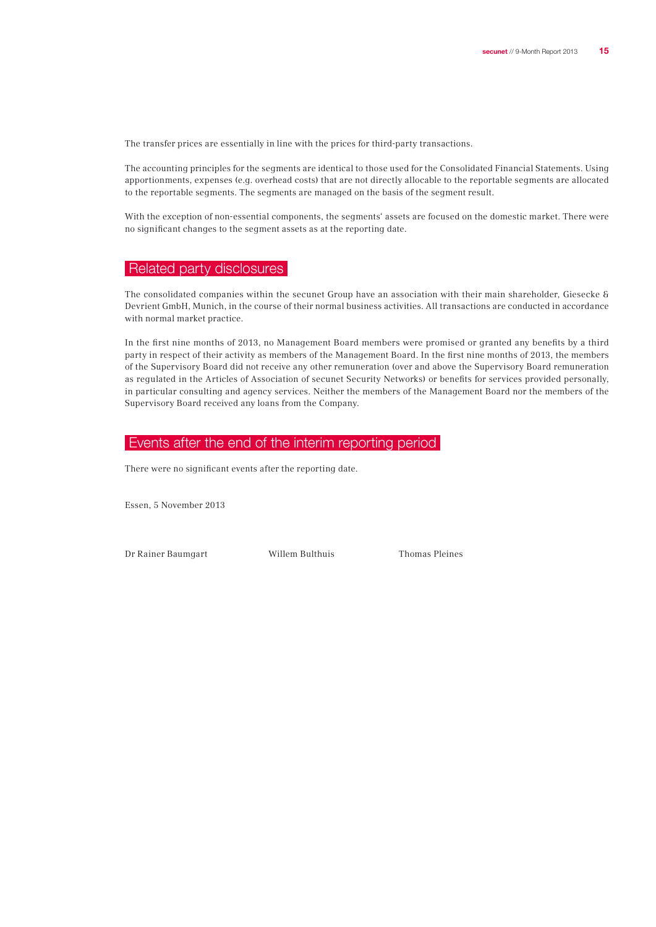The transfer prices are essentially in line with the prices for third-party transactions.

The accounting principles for the segments are identical to those used for the Consolidated Financial Statements. Using apportionments, expenses (e.g. overhead costs) that are not directly allocable to the reportable segments are allocated to the reportable segments. The segments are managed on the basis of the segment result.

With the exception of non-essential components, the segments' assets are focused on the domestic market. There were no significant changes to the segment assets as at the reporting date.

## Related party disclosures

The consolidated companies within the secunet Group have an association with their main shareholder, Giesecke & Devrient GmbH, Munich, in the course of their normal business activities. All transactions are conducted in accordance with normal market practice.

In the first nine months of 2013, no Management Board members were promised or granted any benefits by a third party in respect of their activity as members of the Management Board. In the first nine months of 2013, the members of the Supervisory Board did not receive any other remuneration (over and above the Supervisory Board remuneration as regulated in the Articles of Association of secunet Security Networks) or benefits for services provided personally, in particular consulting and agency services. Neither the members of the Management Board nor the members of the Supervisory Board received any loans from the Company.

### Events after the end of the interim reporting period

There were no significant events after the reporting date.

Essen, 5 November 2013

Dr Rainer Baumgart Willem Bulthuis Thomas Pleines